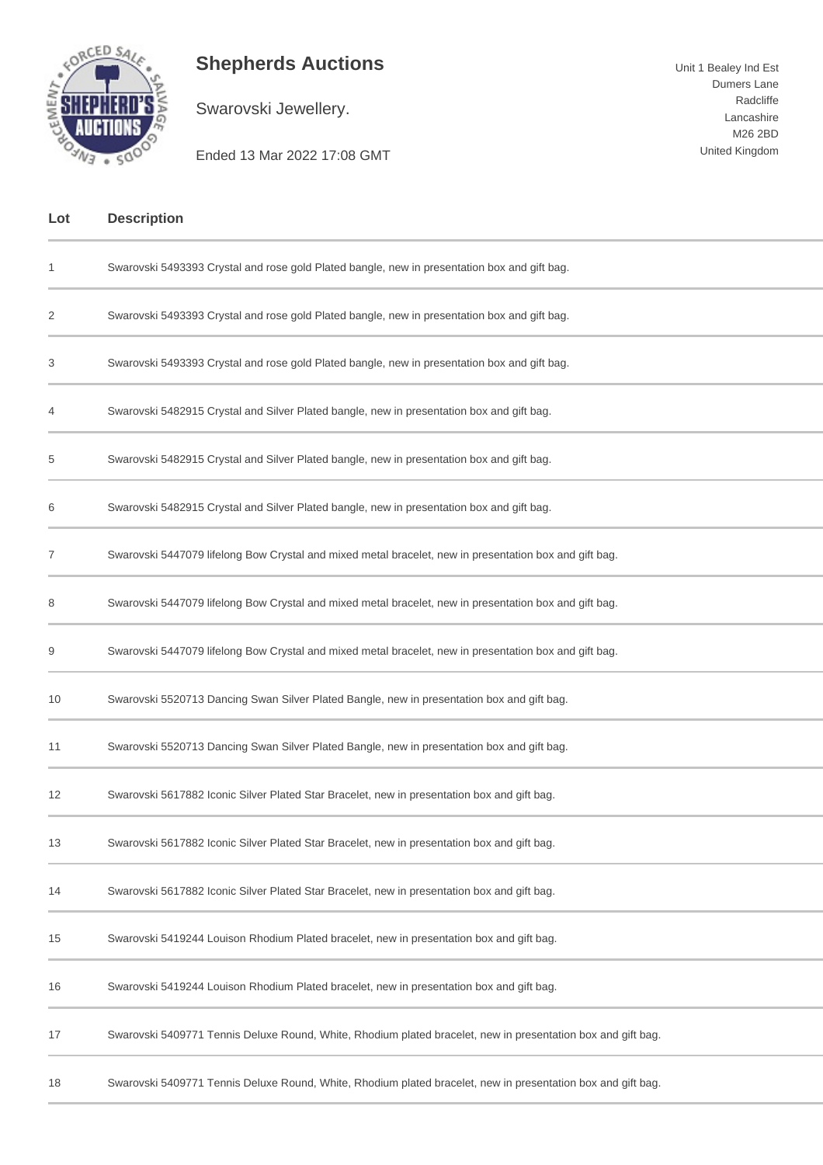

## **Shepherds Auctions**

Swarovski Jewellery.

Unit 1 Bealey Ind Est Dumers Lane Radcliffe Lancashire M26 2BD United Kingdom

Ended 13 Mar 2022 17:08 GMT

| Lot | <b>Description</b>                                                                                           |
|-----|--------------------------------------------------------------------------------------------------------------|
| 1   | Swarovski 5493393 Crystal and rose gold Plated bangle, new in presentation box and gift bag.                 |
| 2   | Swarovski 5493393 Crystal and rose gold Plated bangle, new in presentation box and gift bag.                 |
| 3   | Swarovski 5493393 Crystal and rose gold Plated bangle, new in presentation box and gift bag.                 |
| 4   | Swarovski 5482915 Crystal and Silver Plated bangle, new in presentation box and gift bag.                    |
| 5   | Swarovski 5482915 Crystal and Silver Plated bangle, new in presentation box and gift bag.                    |
| 6   | Swarovski 5482915 Crystal and Silver Plated bangle, new in presentation box and gift bag.                    |
| 7   | Swarovski 5447079 lifelong Bow Crystal and mixed metal bracelet, new in presentation box and gift bag.       |
| 8   | Swarovski 5447079 lifelong Bow Crystal and mixed metal bracelet, new in presentation box and gift bag.       |
| 9   | Swarovski 5447079 lifelong Bow Crystal and mixed metal bracelet, new in presentation box and gift bag.       |
| 10  | Swarovski 5520713 Dancing Swan Silver Plated Bangle, new in presentation box and gift bag.                   |
| 11  | Swarovski 5520713 Dancing Swan Silver Plated Bangle, new in presentation box and gift bag.                   |
| 12  | Swarovski 5617882 Iconic Silver Plated Star Bracelet, new in presentation box and gift bag.                  |
| 13  | Swarovski 5617882 Iconic Silver Plated Star Bracelet, new in presentation box and gift bag.                  |
| 14  | Swarovski 5617882 Iconic Silver Plated Star Bracelet, new in presentation box and gift bag.                  |
| 15  | Swarovski 5419244 Louison Rhodium Plated bracelet, new in presentation box and gift bag.                     |
| 16  | Swarovski 5419244 Louison Rhodium Plated bracelet, new in presentation box and gift bag.                     |
| 17  | Swarovski 5409771 Tennis Deluxe Round, White, Rhodium plated bracelet, new in presentation box and gift bag. |
| 18  | Swarovski 5409771 Tennis Deluxe Round, White, Rhodium plated bracelet, new in presentation box and gift bag. |